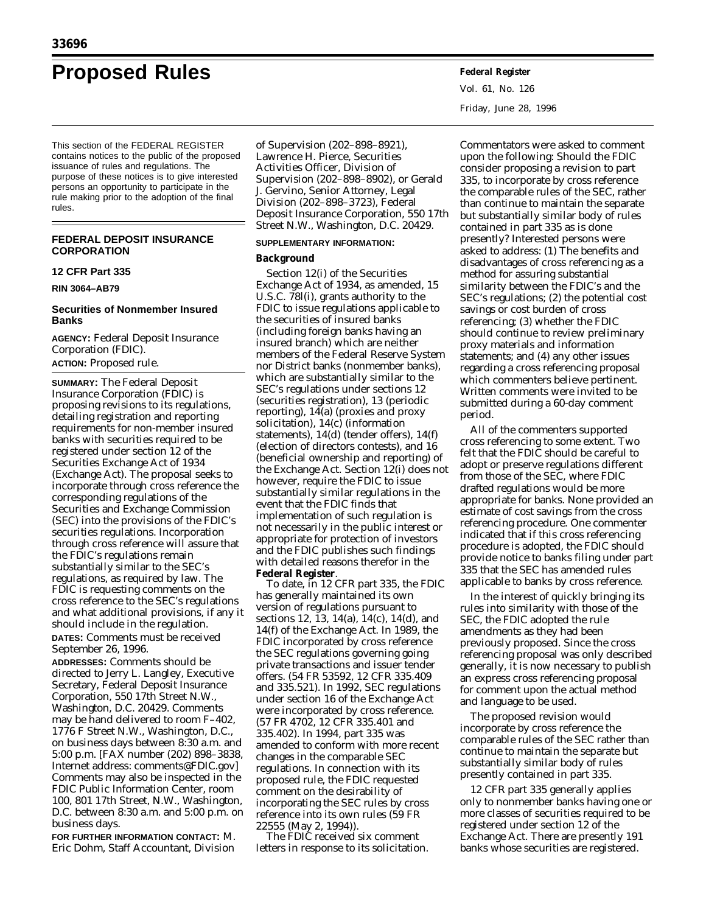# **Proposed Rules Federal Register**

This section of the FEDERAL REGISTER contains notices to the public of the proposed issuance of rules and regulations. The purpose of these notices is to give interested persons an opportunity to participate in the rule making prior to the adoption of the final rules.

# **FEDERAL DEPOSIT INSURANCE CORPORATION**

# **12 CFR Part 335**

**RIN 3064–AB79**

# **Securities of Nonmember Insured Banks**

**AGENCY:** Federal Deposit Insurance Corporation (FDIC). **ACTION:** Proposed rule.

**SUMMARY:** The Federal Deposit Insurance Corporation (FDIC) is proposing revisions to its regulations, detailing registration and reporting requirements for non-member insured banks with securities required to be registered under section 12 of the Securities Exchange Act of 1934 (Exchange Act). The proposal seeks to incorporate through cross reference the corresponding regulations of the Securities and Exchange Commission (SEC) into the provisions of the FDIC's securities regulations. Incorporation through cross reference will assure that the FDIC's regulations remain substantially similar to the SEC's regulations, as required by law. The FDIC is requesting comments on the cross reference to the SEC's regulations and what additional provisions, if any it should include in the regulation. **DATES:** Comments must be received

September 26, 1996.

**ADDRESSES:** Comments should be directed to Jerry L. Langley, Executive Secretary, Federal Deposit Insurance Corporation, 550 17th Street N.W., Washington, D.C. 20429. Comments may be hand delivered to room F–402, 1776 F Street N.W., Washington, D.C., on business days between 8:30 a.m. and 5:00 p.m. [FAX number (202) 898–3838, Internet address: comments@FDIC.gov] Comments may also be inspected in the FDIC Public Information Center, room 100, 801 17th Street, N.W., Washington, D.C. between 8:30 a.m. and 5:00 p.m. on business days.

**FOR FURTHER INFORMATION CONTACT:** M. Eric Dohm, Staff Accountant, Division

of Supervision (202–898–8921), Lawrence H. Pierce, Securities Activities Officer, Division of Supervision (202–898–8902), or Gerald J. Gervino, Senior Attorney, Legal Division (202–898–3723), Federal Deposit Insurance Corporation, 550 17th Street N.W., Washington, D.C. 20429.

## **SUPPLEMENTARY INFORMATION:**

# **Background**

Section 12(i) of the Securities Exchange Act of 1934, as amended, 15 U.S.C. 78*l*(i), grants authority to the FDIC to issue regulations applicable to the securities of insured banks (including foreign banks having an insured branch) which are neither members of the Federal Reserve System nor District banks (nonmember banks), which are substantially similar to the SEC's regulations under sections 12 (securities registration), 13 (periodic reporting), 14(a) (proxies and proxy solicitation), 14(c) (information statements), 14(d) (tender offers), 14(f) (election of directors contests), and 16 (beneficial ownership and reporting) of the Exchange Act. Section 12(i) does not however, require the FDIC to issue substantially similar regulations in the event that the FDIC finds that implementation of such regulation is not necessarily in the public interest or appropriate for protection of investors and the FDIC publishes such findings with detailed reasons therefor in the **Federal Register**.

To date, in 12 CFR part 335, the FDIC has generally maintained its own version of regulations pursuant to sections 12, 13, 14(a), 14(c), 14(d), and 14(f) of the Exchange Act. In 1989, the FDIC incorporated by cross reference the SEC regulations governing going private transactions and issuer tender offers. (54 FR 53592, 12 CFR 335.409 and 335.521). In 1992, SEC regulations under section 16 of the Exchange Act were incorporated by cross reference. (57 FR 4702, 12 CFR 335.401 and 335.402). In 1994, part 335 was amended to conform with more recent changes in the comparable SEC regulations. In connection with its proposed rule, the FDIC requested comment on the desirability of incorporating the SEC rules by cross reference into its own rules (59 FR 22555 (May 2, 1994)).

The FDIC received six comment letters in response to its solicitation. Vol. 61, No. 126 Friday, June 28, 1996

Commentators were asked to comment upon the following: Should the FDIC consider proposing a revision to part 335, to incorporate by cross reference the comparable rules of the SEC, rather than continue to maintain the separate but substantially similar body of rules contained in part 335 as is done presently? Interested persons were asked to address: (1) The benefits and disadvantages of cross referencing as a method for assuring substantial similarity between the FDIC's and the SEC's regulations; (2) the potential cost savings or cost burden of cross referencing; (3) whether the FDIC should continue to review preliminary proxy materials and information statements; and (4) any other issues regarding a cross referencing proposal which commenters believe pertinent. Written comments were invited to be submitted during a 60-day comment period.

All of the commenters supported cross referencing to some extent. Two felt that the FDIC should be careful to adopt or preserve regulations different from those of the SEC, where FDIC drafted regulations would be more appropriate for banks. None provided an estimate of cost savings from the cross referencing procedure. One commenter indicated that if this cross referencing procedure is adopted, the FDIC should provide notice to banks filing under part 335 that the SEC has amended rules applicable to banks by cross reference.

In the interest of quickly bringing its rules into similarity with those of the SEC, the FDIC adopted the rule amendments as they had been previously proposed. Since the cross referencing proposal was only described generally, it is now necessary to publish an express cross referencing proposal for comment upon the actual method and language to be used.

The proposed revision would incorporate by cross reference the comparable rules of the SEC rather than continue to maintain the separate but substantially similar body of rules presently contained in part 335.

12 CFR part 335 generally applies only to nonmember banks having one or more classes of securities required to be registered under section 12 of the Exchange Act. There are presently 191 banks whose securities are registered.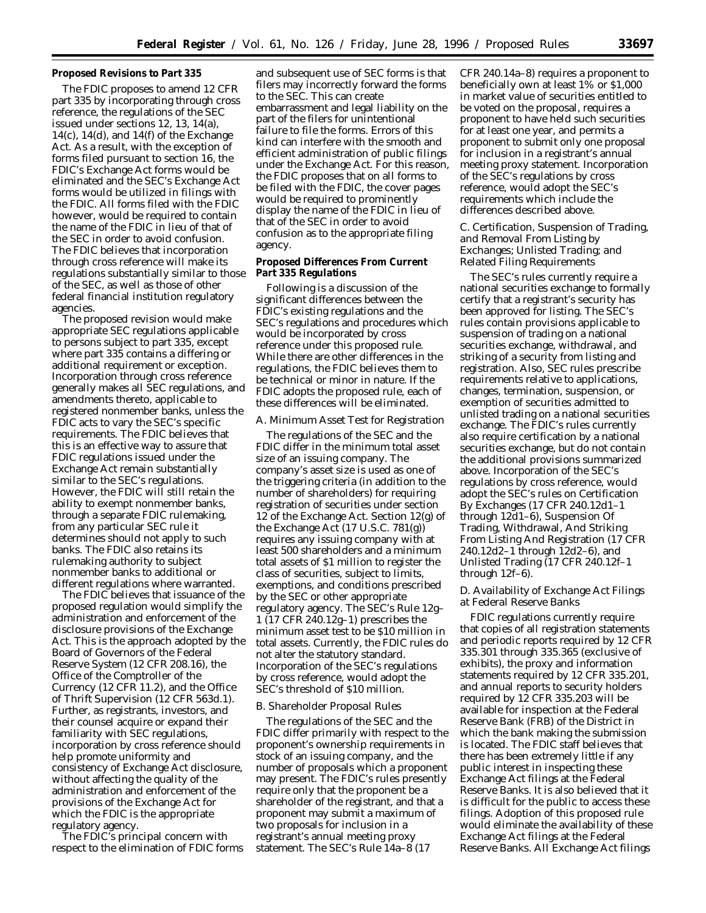# **Proposed Revisions to Part 335**

The FDIC proposes to amend 12 CFR part 335 by incorporating through cross reference, the regulations of the SEC issued under sections 12, 13, 14(a),  $14(c)$ ,  $14(d)$ , and  $14(f)$  of the Exchange Act. As a result, with the exception of forms filed pursuant to section 16, the FDIC's Exchange Act forms would be eliminated and the SEC's Exchange Act forms would be utilized in filings with the FDIC. All forms filed with the FDIC however, would be required to contain the name of the FDIC in lieu of that of the SEC in order to avoid confusion. The FDIC believes that incorporation through cross reference will make its regulations substantially similar to those of the SEC, as well as those of other federal financial institution regulatory agencies.

The proposed revision would make appropriate SEC regulations applicable to persons subject to part 335, except where part 335 contains a differing or additional requirement or exception. Incorporation through cross reference generally makes all SEC regulations, and amendments thereto, applicable to registered nonmember banks, unless the FDIC acts to vary the SEC's specific requirements. The FDIC believes that this is an effective way to assure that FDIC regulations issued under the Exchange Act remain substantially similar to the SEC's regulations. However, the FDIC will still retain the ability to exempt nonmember banks, through a separate FDIC rulemaking, from any particular SEC rule it determines should not apply to such banks. The FDIC also retains its rulemaking authority to subject nonmember banks to additional or different regulations where warranted.

The FDIC believes that issuance of the proposed regulation would simplify the administration and enforcement of the disclosure provisions of the Exchange Act. This is the approach adopted by the Board of Governors of the Federal Reserve System (12 CFR 208.16), the Office of the Comptroller of the Currency (12 CFR 11.2), and the Office of Thrift Supervision (12 CFR 563d.1). Further, as registrants, investors, and their counsel acquire or expand their familiarity with SEC regulations, incorporation by cross reference should help promote uniformity and consistency of Exchange Act disclosure, without affecting the quality of the administration and enforcement of the provisions of the Exchange Act for which the FDIC is the appropriate regulatory agency.

The FDIC's principal concern with respect to the elimination of FDIC forms

and subsequent use of SEC forms is that filers may incorrectly forward the forms to the SEC. This can create embarrassment and legal liability on the part of the filers for unintentional failure to file the forms. Errors of this kind can interfere with the smooth and efficient administration of public filings under the Exchange Act. For this reason, the FDIC proposes that on all forms to be filed with the FDIC, the cover pages would be required to prominently display the name of the FDIC in lieu of that of the SEC in order to avoid confusion as to the appropriate filing agency.

# **Proposed Differences From Current Part 335 Regulations**

Following is a discussion of the significant differences between the FDIC's existing regulations and the SEC's regulations and procedures which would be incorporated by cross reference under this proposed rule. While there are other differences in the regulations, the FDIC believes them to be technical or minor in nature. If the FDIC adopts the proposed rule, each of these differences will be eliminated.

## *A. Minimum Asset Test for Registration*

The regulations of the SEC and the FDIC differ in the minimum total asset size of an issuing company. The company's asset size is used as one of the triggering criteria (in addition to the number of shareholders) for requiring registration of securities under section 12 of the Exchange Act. Section 12(g) of the Exchange Act (17 U.S.C. 781(g)) requires any issuing company with at least 500 shareholders and a minimum total assets of \$1 million to register the class of securities, subject to limits, exemptions, and conditions prescribed by the SEC or other appropriate regulatory agency. The SEC's Rule 12g– 1 (17 CFR 240.12g–1) prescribes the minimum asset test to be \$10 million in total assets. Currently, the FDIC rules do not alter the statutory standard. Incorporation of the SEC's regulations by cross reference, would adopt the SEC's threshold of \$10 million.

## *B. Shareholder Proposal Rules*

The regulations of the SEC and the FDIC differ primarily with respect to the proponent's ownership requirements in stock of an issuing company, and the number of proposals which a proponent may present. The FDIC's rules presently require only that the proponent be a shareholder of the registrant, and that a proponent may submit a maximum of two proposals for inclusion in a registrant's annual meeting proxy statement. The SEC's Rule 14a–8 (17

CFR 240.14a–8) requires a proponent to beneficially own at least 1% or \$1,000 in market value of securities entitled to be voted on the proposal, requires a proponent to have held such securities for at least one year, and permits a proponent to submit only one proposal for inclusion in a registrant's annual meeting proxy statement. Incorporation of the SEC's regulations by cross reference, would adopt the SEC's requirements which include the differences described above.

# *C. Certification, Suspension of Trading, and Removal From Listing by Exchanges; Unlisted Trading; and Related Filing Requirements*

The SEC's rules currently require a national securities exchange to formally certify that a registrant's security has been approved for listing. The SEC's rules contain provisions applicable to suspension of trading on a national securities exchange, withdrawal, and striking of a security from listing and registration. Also, SEC rules prescribe requirements relative to applications, changes, termination, suspension, or exemption of securities admitted to unlisted trading on a national securities exchange. The FDIC's rules currently also require certification by a national securities exchange, but do not contain the additional provisions summarized above. Incorporation of the SEC's regulations by cross reference, would adopt the SEC's rules on Certification By Exchanges (17 CFR 240.12d1–1 through 12d1–6), Suspension Of Trading, Withdrawal, And Striking From Listing And Registration (17 CFR 240.12d2–1 through 12d2–6), and Unlisted Trading (17 CFR 240.12f–1 through 12f–6).

## *D. Availability of Exchange Act Filings at Federal Reserve Banks*

FDIC regulations currently require that copies of all registration statements and periodic reports required by 12 CFR 335.301 through 335.365 (exclusive of exhibits), the proxy and information statements required by 12 CFR 335.201, and annual reports to security holders required by 12 CFR 335.203 will be available for inspection at the Federal Reserve Bank (FRB) of the District in which the bank making the submission is located. The FDIC staff believes that there has been extremely little if any public interest in inspecting these Exchange Act filings at the Federal Reserve Banks. It is also believed that it is difficult for the public to access these filings. Adoption of this proposed rule would eliminate the availability of these Exchange Act filings at the Federal Reserve Banks. All Exchange Act filings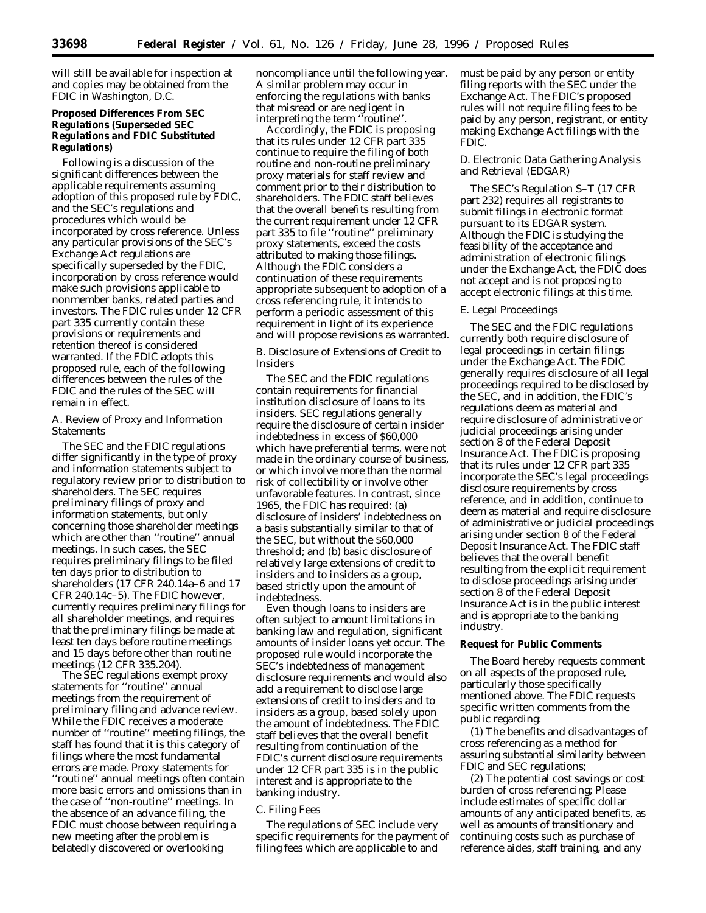will still be available for inspection at and copies may be obtained from the FDIC in Washington, D.C.

**Proposed Differences From SEC Regulations (Superseded SEC Regulations and FDIC Substituted Regulations)**

Following is a discussion of the significant differences between the applicable requirements assuming adoption of this proposed rule by FDIC, and the SEC's regulations and procedures which would be incorporated by cross reference. Unless any particular provisions of the SEC's Exchange Act regulations are specifically superseded by the FDIC, incorporation by cross reference would make such provisions applicable to nonmember banks, related parties and investors. The FDIC rules under 12 CFR part 335 currently contain these provisions or requirements and retention thereof is considered warranted. If the FDIC adopts this proposed rule, each of the following differences between the rules of the FDIC and the rules of the SEC will remain in effect.

# *A. Review of Proxy and Information Statements*

The SEC and the FDIC regulations differ significantly in the type of proxy and information statements subject to regulatory review prior to distribution to shareholders. The SEC requires preliminary filings of proxy and information statements, but only concerning those shareholder meetings which are other than ''routine'' annual meetings. In such cases, the SEC requires preliminary filings to be filed ten days prior to distribution to shareholders (17 CFR 240.14a–6 and 17 CFR 240.14c–5). The FDIC however, currently requires preliminary filings for all shareholder meetings, and requires that the preliminary filings be made at least ten days before routine meetings and 15 days before other than routine meetings (12 CFR 335.204).

The SEC regulations exempt proxy statements for ''routine'' annual meetings from the requirement of preliminary filing and advance review. While the FDIC receives a moderate number of ''routine'' meeting filings, the staff has found that it is this category of filings where the most fundamental errors are made. Proxy statements for ''routine'' annual meetings often contain more basic errors and omissions than in the case of ''non-routine'' meetings. In the absence of an advance filing, the FDIC must choose between requiring a new meeting after the problem is belatedly discovered or overlooking

noncompliance until the following year. A similar problem may occur in enforcing the regulations with banks that misread or are negligent in interpreting the term "routine".

Accordingly, the FDIC is proposing that its rules under 12 CFR part 335 continue to require the filing of both routine and non-routine preliminary proxy materials for staff review and comment prior to their distribution to shareholders. The FDIC staff believes that the overall benefits resulting from the current requirement under 12 CFR part 335 to file ''routine'' preliminary proxy statements, exceed the costs attributed to making those filings. Although the FDIC considers a continuation of these requirements appropriate subsequent to adoption of a cross referencing rule, it intends to perform a periodic assessment of this requirement in light of its experience and will propose revisions as warranted.

# *B. Disclosure of Extensions of Credit to Insiders*

The SEC and the FDIC regulations contain requirements for financial institution disclosure of loans to its insiders. SEC regulations generally require the disclosure of certain insider indebtedness in excess of \$60,000 which have preferential terms, were not made in the ordinary course of business, or which involve more than the normal risk of collectibility or involve other unfavorable features. In contrast, since 1965, the FDIC has required: (a) disclosure of insiders' indebtedness on a basis substantially similar to that of the SEC, but without the \$60,000 threshold; and (b) basic disclosure of relatively large extensions of credit to insiders and to insiders as a group, based strictly upon the amount of indebtedness.

Even though loans to insiders are often subject to amount limitations in banking law and regulation, significant amounts of insider loans yet occur. The proposed rule would incorporate the SEC's indebtedness of management disclosure requirements and would also add a requirement to disclose large extensions of credit to insiders and to insiders as a group, based solely upon the amount of indebtedness. The FDIC staff believes that the overall benefit resulting from continuation of the FDIC's current disclosure requirements under 12 CFR part 335 is in the public interest and is appropriate to the banking industry.

# *C. Filing Fees*

The regulations of SEC include very specific requirements for the payment of filing fees which are applicable to and

must be paid by any person or entity filing reports with the SEC under the Exchange Act. The FDIC's proposed rules will not require filing fees to be paid by any person, registrant, or entity making Exchange Act filings with the FDIC.

# *D. Electronic Data Gathering Analysis and Retrieval (EDGAR)*

The SEC's Regulation S–T (17 CFR part 232) requires all registrants to submit filings in electronic format pursuant to its EDGAR system. Although the FDIC is studying the feasibility of the acceptance and administration of electronic filings under the Exchange Act, the FDIC does not accept and is not proposing to accept electronic filings at this time.

# *E. Legal Proceedings*

The SEC and the FDIC regulations currently both require disclosure of legal proceedings in certain filings under the Exchange Act. The FDIC generally requires disclosure of all legal proceedings required to be disclosed by the SEC, and in addition, the FDIC's regulations deem as material and require disclosure of administrative or judicial proceedings arising under section 8 of the Federal Deposit Insurance Act. The FDIC is proposing that its rules under 12 CFR part 335 incorporate the SEC's legal proceedings disclosure requirements by cross reference, and in addition, continue to deem as material and require disclosure of administrative or judicial proceedings arising under section 8 of the Federal Deposit Insurance Act. The FDIC staff believes that the overall benefit resulting from the explicit requirement to disclose proceedings arising under section 8 of the Federal Deposit Insurance Act is in the public interest and is appropriate to the banking industry.

# **Request for Public Comments**

The Board hereby requests comment on all aspects of the proposed rule, particularly those specifically mentioned above. The FDIC requests specific written comments from the public regarding:

(1) The benefits and disadvantages of cross referencing as a method for assuring substantial similarity between FDIC and SEC regulations;

(2) The potential cost savings or cost burden of cross referencing; Please include estimates of specific dollar amounts of any anticipated benefits, as well as amounts of transitionary and continuing costs such as purchase of reference aides, staff training, and any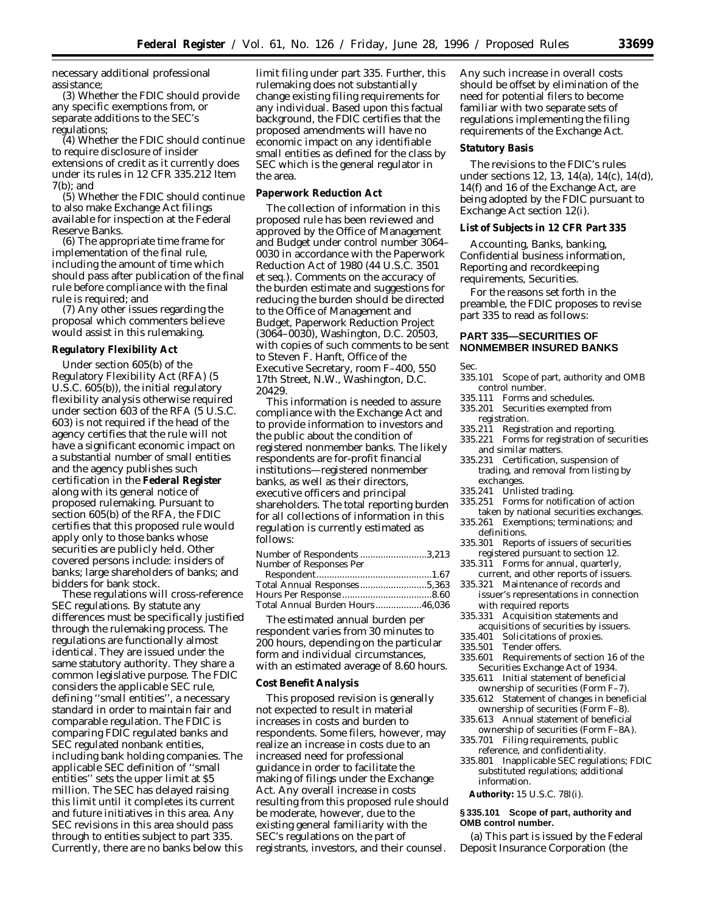necessary additional professional assistance;

(3) Whether the FDIC should provide any specific exemptions from, or separate additions to the SEC's regulations;

(4) Whether the FDIC should continue to require disclosure of insider extensions of credit as it currently does under its rules in 12 CFR 335.212 Item 7(b); and

(5) Whether the FDIC should continue to also make Exchange Act filings available for inspection at the Federal Reserve Banks.

(6) The appropriate time frame for implementation of the final rule, including the amount of time which should pass after publication of the final rule before compliance with the final rule is required; and

(7) Any other issues regarding the proposal which commenters believe would assist in this rulemaking.

## **Regulatory Flexibility Act**

Under section 605(b) of the Regulatory Flexibility Act (RFA) (5 U.S.C. 605(b)), the initial regulatory flexibility analysis otherwise required under section 603 of the RFA (5 U.S.C. 603) is not required if the head of the agency certifies that the rule will not have a significant economic impact on a substantial number of small entities and the agency publishes such certification in the **Federal Register** along with its general notice of proposed rulemaking. Pursuant to section 605(b) of the RFA, the FDIC certifies that this proposed rule would apply only to those banks whose securities are publicly held. Other covered persons include: insiders of banks; large shareholders of banks; and bidders for bank stock.

These regulations will cross-reference SEC regulations. By statute any differences must be specifically justified through the rulemaking process. The regulations are functionally almost identical. They are issued under the same statutory authority. They share a common legislative purpose. The FDIC considers the applicable SEC rule, defining ''small entities'', a necessary standard in order to maintain fair and comparable regulation. The FDIC is comparing FDIC regulated banks and SEC regulated nonbank entities, including bank holding companies. The applicable SEC definition of ''small entities'' sets the upper limit at \$5 million. The SEC has delayed raising this limit until it completes its current and future initiatives in this area. Any SEC revisions in this area should pass through to entities subject to part 335. Currently, there are no banks below this

limit filing under part 335. Further, this rulemaking does not substantially change existing filing requirements for any individual. Based upon this factual background, the FDIC certifies that the proposed amendments will have no economic impact on any identifiable small entities as defined for the class by SEC which is the general regulator in the area.

## **Paperwork Reduction Act**

The collection of information in this proposed rule has been reviewed and approved by the Office of Management and Budget under control number 3064– 0030 in accordance with the Paperwork Reduction Act of 1980 (44 U.S.C. 3501 et seq.). Comments on the accuracy of the burden estimate and suggestions for reducing the burden should be directed to the Office of Management and Budget, Paperwork Reduction Project (3064–0030), Washington, D.C. 20503, with copies of such comments to be sent to Steven F. Hanft, Office of the Executive Secretary, room F–400, 550 17th Street, N.W., Washington, D.C. 20429.

This information is needed to assure compliance with the Exchange Act and to provide information to investors and the public about the condition of registered nonmember banks. The likely respondents are for-profit financial institutions—registered nonmember banks, as well as their directors, executive officers and principal shareholders. The total reporting burden for all collections of information in this regulation is currently estimated as follows:

| Number of Respondents 3,213 |  |
|-----------------------------|--|
| Number of Responses Per     |  |
|                             |  |
|                             |  |
|                             |  |

Total Annual Burden Hours..................46,036 The estimated annual burden per respondent varies from 30 minutes to 200 hours, depending on the particular form and individual circumstances, with an estimated average of 8.60 hours.

## **Cost Benefit Analysis**

This proposed revision is generally not expected to result in material increases in costs and burden to respondents. Some filers, however, may realize an increase in costs due to an increased need for professional guidance in order to facilitate the making of filings under the Exchange Act. Any overall increase in costs resulting from this proposed rule should be moderate, however, due to the existing general familiarity with the SEC's regulations on the part of registrants, investors, and their counsel.

Any such increase in overall costs should be offset by elimination of the need for potential filers to become familiar with two separate sets of regulations implementing the filing requirements of the Exchange Act.

#### **Statutory Basis**

The revisions to the FDIC's rules under sections 12, 13, 14(a), 14(c), 14(d), 14(f) and 16 of the Exchange Act, are being adopted by the FDIC pursuant to Exchange Act section 12(i).

## **List of Subjects in 12 CFR Part 335**

Accounting, Banks, banking, Confidential business information, Reporting and recordkeeping requirements, Securities.

For the reasons set forth in the preamble, the FDIC proposes to revise part 335 to read as follows:

# **PART 335—SECURITIES OF NONMEMBER INSURED BANKS**

#### Sec.

- 335.101 Scope of part, authority and OMB control number.
- 335.111 Forms and schedules.
- 335.201 Securities exempted from registration.
- 335.211 Registration and reporting.
- 335.221 Forms for registration of securities and similar matters.
- 335.231 Certification, suspension of trading, and removal from listing by exchanges.
- 335.241 Unlisted trading.
- 335.251 Forms for notification of action
- taken by national securities exchanges. 335.261 Exemptions; terminations; and
- definitions.
- 335.301 Reports of issuers of securities registered pursuant to section 12.
- 335.311 Forms for annual, quarterly, current, and other reports of issuers.
- 335.321 Maintenance of records and issuer's representations in connection with required reports
- 335.331 Acquisition statements and
- acquisitions of securities by issuers.<br>335.401 Solicitations of proxies.
- Solicitations of proxies.
- 335.501 Tender offers.
- Requirements of section 16 of the Securities Exchange Act of 1934.
- 335.611 Initial statement of beneficial ownership of securities (Form F–7).
- 335.612 Statement of changes in beneficial ownership of securities (Form F–8).
- 335.613 Annual statement of beneficial ownership of securities (Form F–8A).
- 335.701 Filing requirements, public reference, and confidentiality.
- 335.801 Inapplicable SEC regulations; FDIC substituted regulations; additional information.

**Authority:** 15 U.S.C. 78l(i).

## **§ 335.101 Scope of part, authority and OMB control number.**

(a) This part is issued by the Federal Deposit Insurance Corporation (the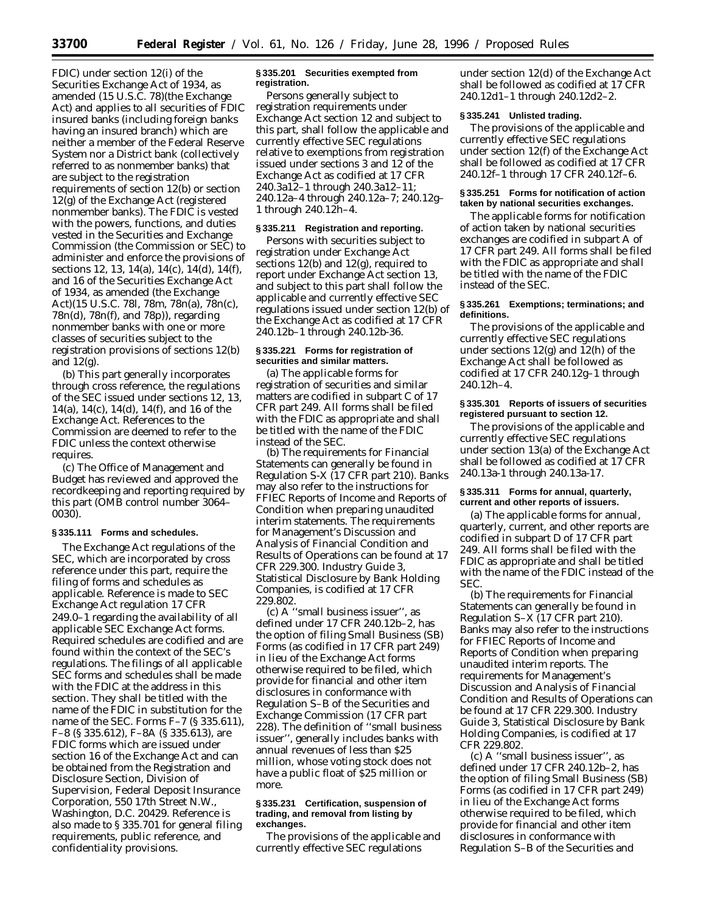FDIC) under section 12(i) of the Securities Exchange Act of 1934, as amended (15 U.S.C. 78)(the Exchange Act) and applies to all securities of FDIC insured banks (including foreign banks having an insured branch) which are neither a member of the Federal Reserve System nor a District bank (collectively referred to as nonmember banks) that are subject to the registration requirements of section 12(b) or section 12(g) of the Exchange Act (registered nonmember banks). The FDIC is vested with the powers, functions, and duties vested in the Securities and Exchange Commission (the Commission or SEC) to administer and enforce the provisions of sections 12, 13, 14(a), 14(c), 14(d), 14(f), and 16 of the Securities Exchange Act of 1934, as amended (the Exchange Act)(15 U.S.C. 78*l*, 78m, 78n(a), 78n(c), 78n(d), 78n(f), and 78p)), regarding nonmember banks with one or more classes of securities subject to the registration provisions of sections 12(b) and 12(g).

(b) This part generally incorporates through cross reference, the regulations of the SEC issued under sections 12, 13, 14(a), 14(c), 14(d), 14(f), and 16 of the Exchange Act. References to the Commission are deemed to refer to the FDIC unless the context otherwise requires.

(c) The Office of Management and Budget has reviewed and approved the recordkeeping and reporting required by this part (OMB control number 3064– 0030).

# **§ 335.111 Forms and schedules.**

The Exchange Act regulations of the SEC, which are incorporated by cross reference under this part, require the filing of forms and schedules as applicable. Reference is made to SEC Exchange Act regulation 17 CFR 249.0–1 regarding the availability of all applicable SEC Exchange Act forms. Required schedules are codified and are found within the context of the SEC's regulations. The filings of all applicable SEC forms and schedules shall be made with the FDIC at the address in this section. They shall be titled with the name of the FDIC in substitution for the name of the SEC. Forms F–7 (§ 335.611), F–8 (§ 335.612), F–8A (§ 335.613), are FDIC forms which are issued under section 16 of the Exchange Act and can be obtained from the Registration and Disclosure Section, Division of Supervision, Federal Deposit Insurance Corporation, 550 17th Street N.W., Washington, D.C. 20429. Reference is also made to § 335.701 for general filing requirements, public reference, and confidentiality provisions.

## **§ 335.201 Securities exempted from registration.**

Persons generally subject to registration requirements under Exchange Act section 12 and subject to this part, shall follow the applicable and currently effective SEC regulations relative to exemptions from registration issued under sections 3 and 12 of the Exchange Act as codified at 17 CFR 240.3a12–1 through 240.3a12–11; 240.12a–4 through 240.12a–7; 240.12g– 1 through 240.12h–4.

## **§ 335.211 Registration and reporting.**

Persons with securities subject to registration under Exchange Act sections 12(b) and 12(g), required to report under Exchange Act section 13, and subject to this part shall follow the applicable and currently effective SEC regulations issued under section 12(b) of the Exchange Act as codified at 17 CFR 240.12b–1 through 240.12b-36.

## **§ 335.221 Forms for registration of securities and similar matters.**

(a) The applicable forms for registration of securities and similar matters are codified in subpart C of 17 CFR part 249. All forms shall be filed with the FDIC as appropriate and shall be titled with the name of the FDIC instead of the SEC.

(b) The requirements for Financial Statements can generally be found in Regulation S-X (17 CFR part 210). Banks may also refer to the instructions for FFIEC Reports of Income and Reports of Condition when preparing unaudited interim statements. The requirements for Management's Discussion and Analysis of Financial Condition and Results of Operations can be found at 17 CFR 229.300. Industry Guide 3, Statistical Disclosure by Bank Holding Companies, is codified at 17 CFR 229.802.

(c) A ''small business issuer'', as defined under 17 CFR 240.12b–2, has the option of filing Small Business (SB) Forms (as codified in 17 CFR part 249) in lieu of the Exchange Act forms otherwise required to be filed, which provide for financial and other item disclosures in conformance with Regulation S–B of the Securities and Exchange Commission (17 CFR part 228). The definition of ''small business issuer'', generally includes banks with annual revenues of less than \$25 million, whose voting stock does not have a public float of \$25 million or more.

## **§ 335.231 Certification, suspension of trading, and removal from listing by exchanges.**

The provisions of the applicable and currently effective SEC regulations

under section 12(d) of the Exchange Act shall be followed as codified at 17 CFR 240.12d1–1 through 240.12d2–2.

## **§ 335.241 Unlisted trading.**

The provisions of the applicable and currently effective SEC regulations under section 12(f) of the Exchange Act shall be followed as codified at 17 CFR 240.12f–1 through 17 CFR 240.12f–6.

## **§ 335.251 Forms for notification of action taken by national securities exchanges.**

The applicable forms for notification of action taken by national securities exchanges are codified in subpart A of 17 CFR part 249. All forms shall be filed with the FDIC as appropriate and shall be titled with the name of the FDIC instead of the SEC.

## **§ 335.261 Exemptions; terminations; and definitions.**

The provisions of the applicable and currently effective SEC regulations under sections  $12(g)$  and  $12(h)$  of the Exchange Act shall be followed as codified at 17 CFR 240.12g–1 through 240.12h–4.

## **§ 335.301 Reports of issuers of securities registered pursuant to section 12.**

The provisions of the applicable and currently effective SEC regulations under section 13(a) of the Exchange Act shall be followed as codified at 17 CFR 240.13a-1 through 240.13a-17.

## **§ 335.311 Forms for annual, quarterly, current and other reports of issuers.**

(a) The applicable forms for annual, quarterly, current, and other reports are codified in subpart D of 17 CFR part 249. All forms shall be filed with the FDIC as appropriate and shall be titled with the name of the FDIC instead of the SEC.

(b) The requirements for Financial Statements can generally be found in Regulation S–X (17 CFR part 210). Banks may also refer to the instructions for FFIEC Reports of Income and Reports of Condition when preparing unaudited interim reports. The requirements for Management's Discussion and Analysis of Financial Condition and Results of Operations can be found at 17 CFR 229.300. Industry Guide 3, Statistical Disclosure by Bank Holding Companies, is codified at 17 CFR 229.802.

(c) A ''small business issuer'', as defined under 17 CFR 240.12b–2, has the option of filing Small Business (SB) Forms (as codified in 17 CFR part 249) in lieu of the Exchange Act forms otherwise required to be filed, which provide for financial and other item disclosures in conformance with Regulation S–B of the Securities and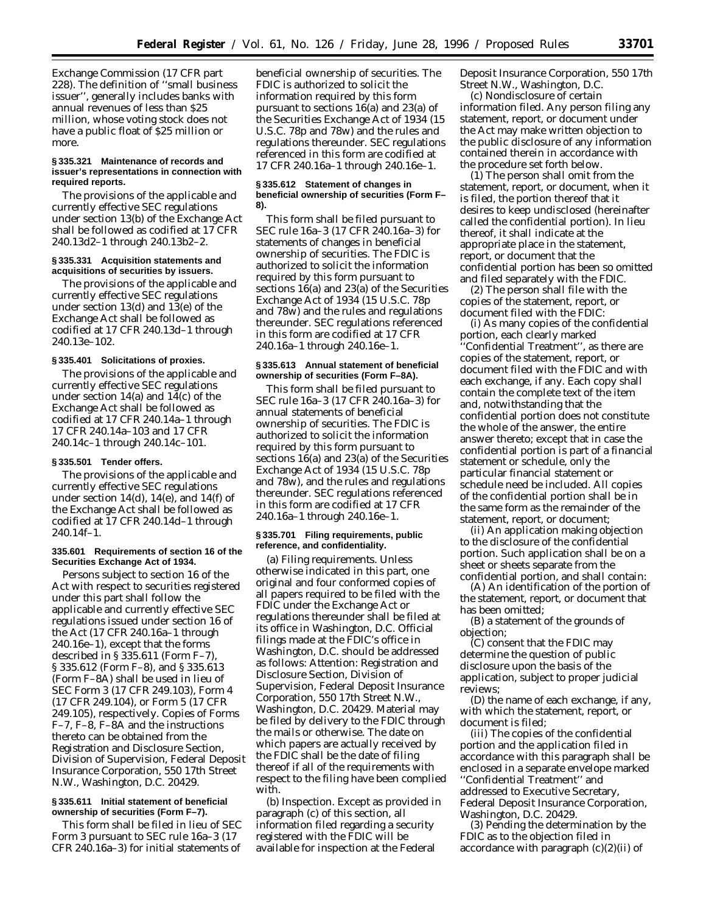Exchange Commission (17 CFR part 228). The definition of ''small business issuer'', generally includes banks with annual revenues of less than \$25 million, whose voting stock does not have a public float of \$25 million or more.

## **§ 335.321 Maintenance of records and issuer's representations in connection with required reports.**

The provisions of the applicable and currently effective SEC regulations under section 13(b) of the Exchange Act shall be followed as codified at 17 CFR 240.13d2–1 through 240.13b2–2.

### **§ 335.331 Acquisition statements and acquisitions of securities by issuers.**

The provisions of the applicable and currently effective SEC regulations under section 13(d) and 13(e) of the Exchange Act shall be followed as codified at 17 CFR 240.13d–1 through 240.13e–102.

## **§ 335.401 Solicitations of proxies.**

The provisions of the applicable and currently effective SEC regulations under section 14(a) and 14(c) of the Exchange Act shall be followed as codified at 17 CFR 240.14a–1 through 17 CFR 240.14a–103 and 17 CFR 240.14c–1 through 240.14c–101.

## **§ 335.501 Tender offers.**

The provisions of the applicable and currently effective SEC regulations under section  $14(d)$ ,  $14(e)$ , and  $14(f)$  of the Exchange Act shall be followed as codified at 17 CFR 240.14d–1 through 240.14f–1.

## **335.601 Requirements of section 16 of the Securities Exchange Act of 1934.**

Persons subject to section 16 of the Act with respect to securities registered under this part shall follow the applicable and currently effective SEC regulations issued under section 16 of the Act (17 CFR 240.16a–1 through 240.16e–1), except that the forms described in § 335.611 (Form F–7), § 335.612 (Form F–8), and § 335.613 (Form F–8A) shall be used in lieu of SEC Form 3 (17 CFR 249.103), Form 4 (17 CFR 249.104), or Form 5 (17 CFR 249.105), respectively. Copies of Forms F–7, F–8, F–8A and the instructions thereto can be obtained from the Registration and Disclosure Section, Division of Supervision, Federal Deposit Insurance Corporation, 550 17th Street N.W., Washington, D.C. 20429.

# **§ 335.611 Initial statement of beneficial ownership of securities (Form F–7).**

This form shall be filed in lieu of SEC Form 3 pursuant to SEC rule 16a–3 (17 CFR 240.16a–3) for initial statements of beneficial ownership of securities. The FDIC is authorized to solicit the information required by this form pursuant to sections 16(a) and 23(a) of the Securities Exchange Act of 1934 (15 U.S.C. 78p and 78w) and the rules and regulations thereunder. SEC regulations referenced in this form are codified at 17 CFR 240.16a–1 through 240.16e–1.

## **§ 335.612 Statement of changes in beneficial ownership of securities (Form F– 8).**

This form shall be filed pursuant to SEC rule 16a–3 (17 CFR 240.16a–3) for statements of changes in beneficial ownership of securities. The FDIC is authorized to solicit the information required by this form pursuant to sections 16(a) and 23(a) of the Securities Exchange Act of 1934 (15 U.S.C. 78p and 78w) and the rules and regulations thereunder. SEC regulations referenced in this form are codified at 17 CFR 240.16a–1 through 240.16e–1.

## **§ 335.613 Annual statement of beneficial ownership of securities (Form F–8A).**

This form shall be filed pursuant to SEC rule 16a–3 (17 CFR 240.16a–3) for annual statements of beneficial ownership of securities. The FDIC is authorized to solicit the information required by this form pursuant to sections 16(a) and 23(a) of the Securities Exchange Act of 1934 (15 U.S.C. 78p and 78w), and the rules and regulations thereunder. SEC regulations referenced in this form are codified at 17 CFR 240.16a–1 through 240.16e–1.

## **§ 335.701 Filing requirements, public reference, and confidentiality.**

(a) *Filing requirements.* Unless otherwise indicated in this part, one original and four conformed copies of all papers required to be filed with the FDIC under the Exchange Act or regulations thereunder shall be filed at its office in Washington, D.C. Official filings made at the FDIC's office in Washington, D.C. should be addressed as follows: Attention: Registration and Disclosure Section, Division of Supervision, Federal Deposit Insurance Corporation, 550 17th Street N.W., Washington, D.C. 20429. Material may be filed by delivery to the FDIC through the mails or otherwise. The date on which papers are actually received by the FDIC shall be the date of filing thereof if all of the requirements with respect to the filing have been complied with.

(b) *Inspection.* Except as provided in paragraph (c) of this section, all information filed regarding a security registered with the FDIC will be available for inspection at the Federal

Deposit Insurance Corporation, 550 17th Street N.W., Washington, D.C.

(c) *Nondisclosure of certain information filed.* Any person filing any statement, report, or document under the Act may make written objection to the public disclosure of any information contained therein in accordance with the procedure set forth below.

(1) The person shall omit from the statement, report, or document, when it is filed, the portion thereof that it desires to keep undisclosed (hereinafter called the confidential portion). In lieu thereof, it shall indicate at the appropriate place in the statement, report, or document that the confidential portion has been so omitted and filed separately with the FDIC.

(2) The person shall file with the copies of the statement, report, or document filed with the FDIC:

(i) As many copies of the confidential portion, each clearly marked ''Confidential Treatment'', as there are copies of the statement, report, or document filed with the FDIC and with each exchange, if any. Each copy shall contain the complete text of the item and, notwithstanding that the confidential portion does not constitute the whole of the answer, the entire answer thereto; except that in case the confidential portion is part of a financial statement or schedule, only the particular financial statement or schedule need be included. All copies of the confidential portion shall be in the same form as the remainder of the statement, report, or document;

(ii) An application making objection to the disclosure of the confidential portion. Such application shall be on a sheet or sheets separate from the confidential portion, and shall contain:

(A) An identification of the portion of the statement, report, or document that has been omitted;

(B) a statement of the grounds of objection;

(C) consent that the FDIC may determine the question of public disclosure upon the basis of the application, subject to proper judicial reviews;

(D) the name of each exchange, if any, with which the statement, report, or document is filed;

(iii) The copies of the confidential portion and the application filed in accordance with this paragraph shall be enclosed in a separate envelope marked ''Confidential Treatment'' and addressed to Executive Secretary, Federal Deposit Insurance Corporation, Washington, D.C. 20429.

(3) Pending the determination by the FDIC as to the objection filed in accordance with paragraph  $(c)(2)(ii)$  of